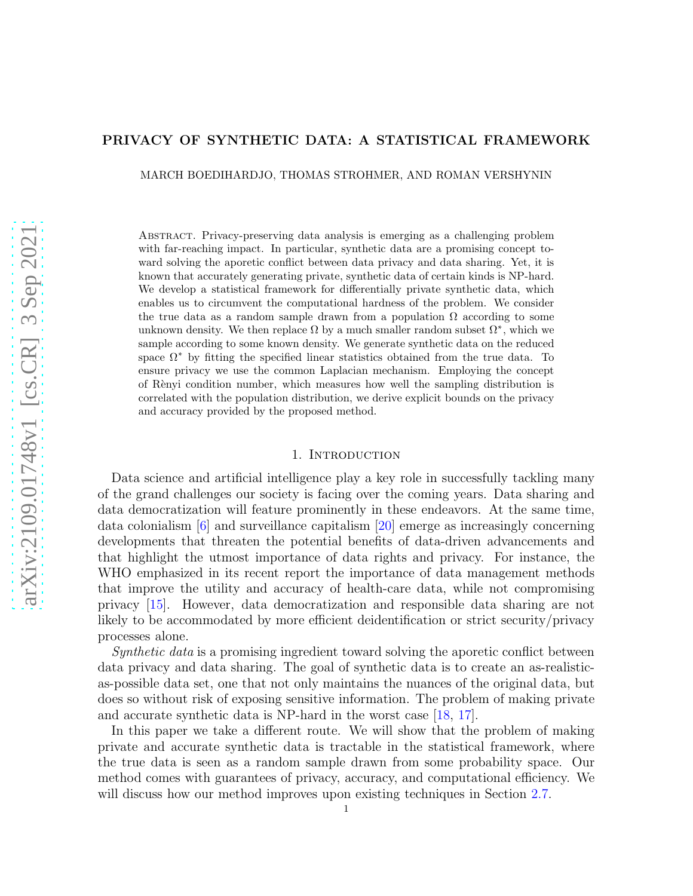### PRIVACY OF SYNTHETIC DATA: A STATISTICAL FRAMEWORK

MARCH BOEDIHARDJO, THOMAS STROHMER, AND ROMAN VERSHYNIN

Abstract. Privacy-preserving data analysis is emerging as a challenging problem with far-reaching impact. In particular, synthetic data are a promising concept toward solving the aporetic conflict between data privacy and data sharing. Yet, it is known that accurately generating private, synthetic data of certain kinds is NP-hard. We develop a statistical framework for differentially private synthetic data, which enables us to circumvent the computational hardness of the problem. We consider the true data as a random sample drawn from a population  $\Omega$  according to some unknown density. We then replace  $\Omega$  by a much smaller random subset  $\Omega^*$ , which we sample according to some known density. We generate synthetic data on the reduced space  $\Omega^*$  by fitting the specified linear statistics obtained from the true data. To ensure privacy we use the common Laplacian mechanism. Employing the concept of R`enyi condition number, which measures how well the sampling distribution is correlated with the population distribution, we derive explicit bounds on the privacy and accuracy provided by the proposed method.

### 1. INTRODUCTION

Data science and artificial intelligence play a key role in successfully tackling many of the grand challenges our society is facing over the coming years. Data sharing and data democratization will feature prominently in these endeavors. At the same time, data colonialism  $\lceil 6 \rceil$  and surveillance capitalism  $\lceil 20 \rceil$  emerge as increasingly concerning developments that threaten the potential benefits of data-driven advancements and that highlight the utmost importance of data rights and privacy. For instance, the WHO emphasized in its recent report the importance of data management methods that improve the utility and accuracy of health-care data, while not compromising privacy [\[15\]](#page-11-2). However, data democratization and responsible data sharing are not likely to be accommodated by more efficient deidentification or strict security/privacy processes alone.

Synthetic data is a promising ingredient toward solving the aporetic conflict between data privacy and data sharing. The goal of synthetic data is to create an as-realisticas-possible data set, one that not only maintains the nuances of the original data, but does so without risk of exposing sensitive information. The problem of making private and accurate synthetic data is NP-hard in the worst case [\[18,](#page-11-3) [17\]](#page-11-4).

In this paper we take a different route. We will show that the problem of making private and accurate synthetic data is tractable in the statistical framework, where the true data is seen as a random sample drawn from some probability space. Our method comes with guarantees of privacy, accuracy, and computational efficiency. We will discuss how our method improves upon existing techniques in Section [2.7.](#page-4-0)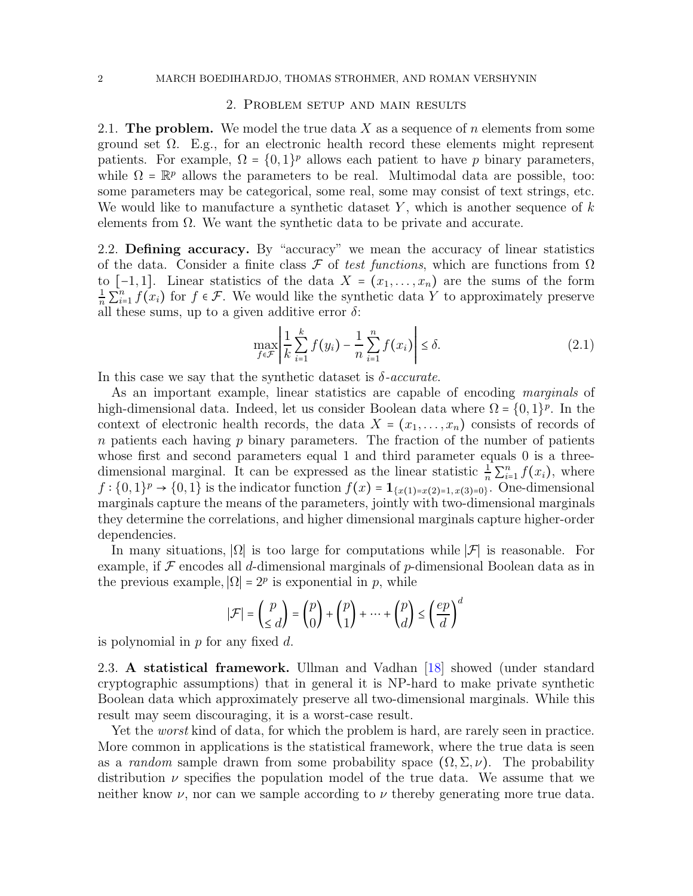## 2. Problem setup and main results

2.1. The problem. We model the true data X as a sequence of n elements from some ground set  $\Omega$ . E.g., for an electronic health record these elements might represent patients. For example,  $\Omega = \{0, 1\}^p$  allows each patient to have p binary parameters, while  $\Omega = \mathbb{R}^p$  allows the parameters to be real. Multimodal data are possible, too: some parameters may be categorical, some real, some may consist of text strings, etc. We would like to manufacture a synthetic dataset  $Y$ , which is another sequence of  $k$ elements from  $\Omega$ . We want the synthetic data to be private and accurate.

2.2. Defining accuracy. By "accuracy" we mean the accuracy of linear statistics of the data. Consider a finite class  $\mathcal F$  of test functions, which are functions from  $\Omega$ to  $[-1,1]$ . Linear statistics of the data  $X = (x_1, \ldots, x_n)$  are the sums of the form  $\frac{1}{n}\sum_{i=1}^{n} f(x_i)$  for  $f \in \mathcal{F}$ . We would like the synthetic data Y to approximately preserve all these sums, up to a given additive error  $\delta$ :

<span id="page-1-0"></span>
$$
\max_{f \in \mathcal{F}} \left| \frac{1}{k} \sum_{i=1}^{k} f(y_i) - \frac{1}{n} \sum_{i=1}^{n} f(x_i) \right| \le \delta. \tag{2.1}
$$

In this case we say that the synthetic dataset is  $\delta$ -accurate.

As an important example, linear statistics are capable of encoding marginals of high-dimensional data. Indeed, let us consider Boolean data where  $\Omega = \{0, 1\}^p$ . In the context of electronic health records, the data  $X = (x_1, \ldots, x_n)$  consists of records of  $n$  patients each having  $p$  binary parameters. The fraction of the number of patients whose first and second parameters equal 1 and third parameter equals 0 is a threedimensional marginal. It can be expressed as the linear statistic  $\frac{1}{n} \sum_{i=1}^{n} f(x_i)$ , where  $f: \{0,1\}^p \to \{0,1\}$  is the indicator function  $f(x) = \mathbf{1}_{\{x(1)=x(2)=1, x(3)=0\}}$ . One-dimensional marginals capture the means of the parameters, jointly with two-dimensional marginals they determine the correlations, and higher dimensional marginals capture higher-order dependencies.

In many situations,  $| \Omega |$  is too large for computations while  $| \mathcal{F} |$  is reasonable. For example, if  $\mathcal F$  encodes all d-dimensional marginals of p-dimensional Boolean data as in the previous example,  $|\Omega| = 2^p$  is exponential in p, while

$$
|\mathcal{F}| = {p \choose \le d} = {p \choose 0} + {p \choose 1} + \dots + {p \choose d} \le \left(\frac{ep}{d}\right)^d
$$

is polynomial in  $p$  for any fixed  $d$ .

2.3. A statistical framework. Ullman and Vadhan [\[18\]](#page-11-3) showed (under standard cryptographic assumptions) that in general it is NP-hard to make private synthetic Boolean data which approximately preserve all two-dimensional marginals. While this result may seem discouraging, it is a worst-case result.

Yet the *worst* kind of data, for which the problem is hard, are rarely seen in practice. More common in applications is the statistical framework, where the true data is seen as a *random* sample drawn from some probability space  $(\Omega, \Sigma, \nu)$ . The probability distribution  $\nu$  specifies the population model of the true data. We assume that we neither know  $\nu$ , nor can we sample according to  $\nu$  thereby generating more true data.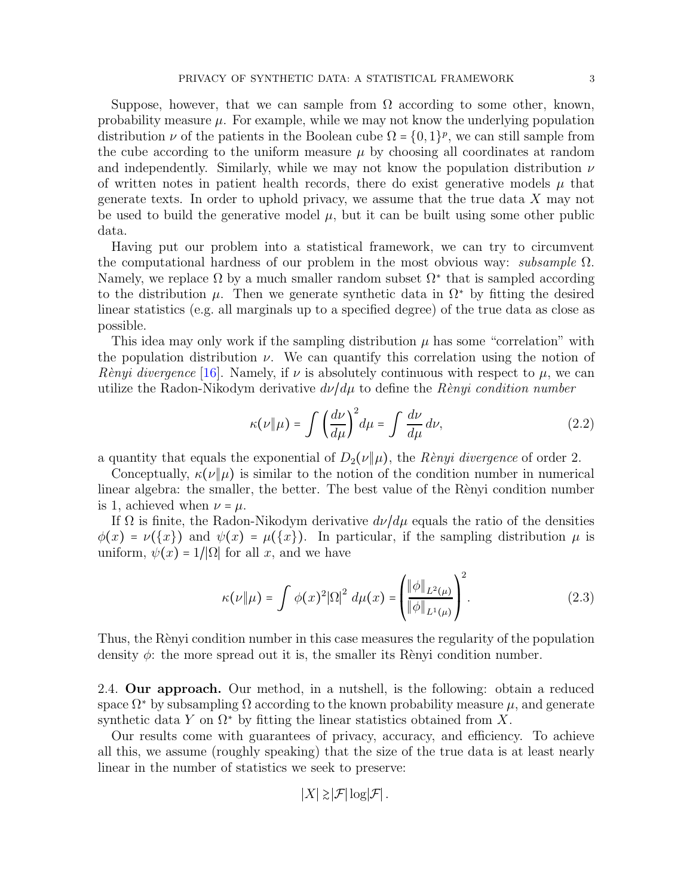Suppose, however, that we can sample from  $\Omega$  according to some other, known, probability measure  $\mu$ . For example, while we may not know the underlying population distribution  $\nu$  of the patients in the Boolean cube  $\Omega = \{0, 1\}^p$ , we can still sample from the cube according to the uniform measure  $\mu$  by choosing all coordinates at random and independently. Similarly, while we may not know the population distribution  $\nu$ of written notes in patient health records, there do exist generative models  $\mu$  that generate texts. In order to uphold privacy, we assume that the true data X may not be used to build the generative model  $\mu$ , but it can be built using some other public data.

Having put our problem into a statistical framework, we can try to circumvent the computational hardness of our problem in the most obvious way: *subsample*  $\Omega$ . Namely, we replace  $\Omega$  by a much smaller random subset  $\Omega^*$  that is sampled according to the distribution  $\mu$ . Then we generate synthetic data in  $\Omega^*$  by fitting the desired linear statistics (e.g. all marginals up to a specified degree) of the true data as close as possible.

This idea may only work if the sampling distribution  $\mu$  has some "correlation" with the population distribution  $\nu$ . We can quantify this correlation using the notion of Renyi divergence [\[16\]](#page-11-5). Namely, if  $\nu$  is absolutely continuous with respect to  $\mu$ , we can utilize the Radon-Nikodym derivative  $d\nu/d\mu$  to define the Renyi condition number

$$
\kappa(\nu \| \mu) = \int \left(\frac{d\nu}{d\mu}\right)^2 d\mu = \int \frac{d\nu}{d\mu} d\nu, \tag{2.2}
$$

a quantity that equals the exponential of  $D_2(\nu||\mu)$ , the Rènyi divergence of order 2.

Conceptually,  $\kappa(\nu||\mu)$  is similar to the notion of the condition number in numerical linear algebra: the smaller, the better. The best value of the Renyi condition number is 1, achieved when  $\nu = \mu$ .

If  $\Omega$  is finite, the Radon-Nikodym derivative  $d\nu/d\mu$  equals the ratio of the densities  $\phi(x) = \nu({x})$  and  $\psi(x) = \mu({x})$ . In particular, if the sampling distribution  $\mu$  is uniform,  $\psi(x) = 1/|\Omega|$  for all x, and we have

<span id="page-2-0"></span>
$$
\kappa(\nu \| \mu) = \int \phi(x)^2 |\Omega|^2 \ d\mu(x) = \left( \frac{\|\phi\|_{L^2(\mu)}}{\|\phi\|_{L^1(\mu)}} \right)^2.
$$
 (2.3)

Thus, the Renyi condition number in this case measures the regularity of the population density  $\phi$ : the more spread out it is, the smaller its Renyi condition number.

2.4. Our approach. Our method, in a nutshell, is the following: obtain a reduced space  $\Omega^*$  by subsampling  $\Omega$  according to the known probability measure  $\mu$ , and generate synthetic data Y on  $\Omega^*$  by fitting the linear statistics obtained from X.

Our results come with guarantees of privacy, accuracy, and efficiency. To achieve all this, we assume (roughly speaking) that the size of the true data is at least nearly linear in the number of statistics we seek to preserve:

$$
|X| \gtrsim |\mathcal{F}| \log |\mathcal{F}|.
$$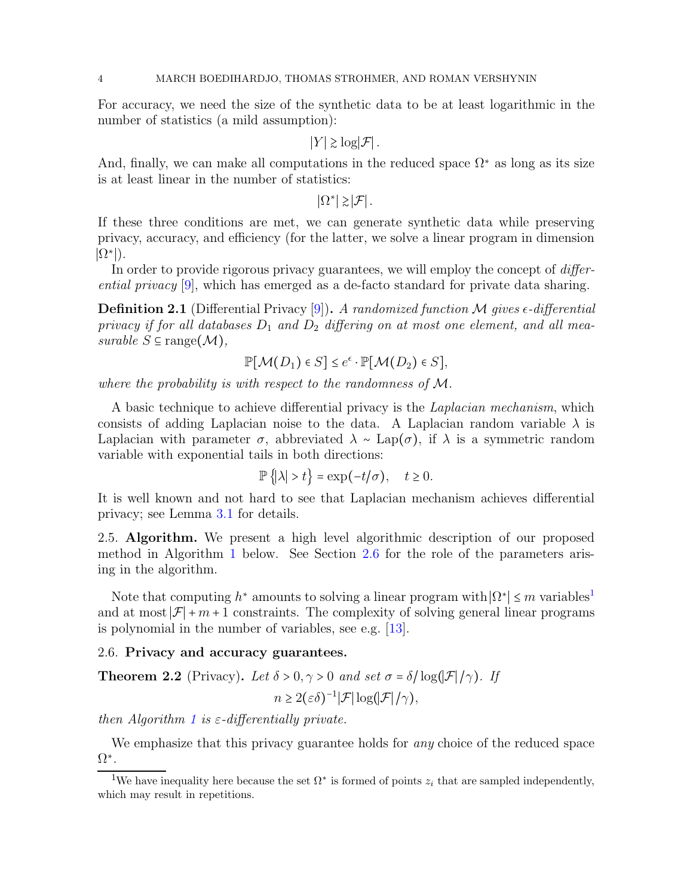For accuracy, we need the size of the synthetic data to be at least logarithmic in the number of statistics (a mild assumption):

 $|Y| \geq \log |\mathcal{F}|$ .

And, finally, we can make all computations in the reduced space  $\Omega^*$  as long as its size is at least linear in the number of statistics:

 $|\Omega^*| \geq |\mathcal{F}|$ .

If these three conditions are met, we can generate synthetic data while preserving privacy, accuracy, and efficiency (for the latter, we solve a linear program in dimension  $|\Omega^*|$ ).

In order to provide rigorous privacy guarantees, we will employ the concept of *differ*ential privacy [\[9\]](#page-11-6), which has emerged as a de-facto standard for private data sharing.

**Definition 2.1** (Differential Privacy [\[9\]](#page-11-6)). A randomized function M gives  $\epsilon$ -differential privacy if for all databases  $D_1$  and  $D_2$  differing on at most one element, and all measurable  $S \subseteq \text{range}(\mathcal{M}),$ 

$$
\mathbb{P}[\mathcal{M}(D_1) \in S] \le e^{\epsilon} \cdot \mathbb{P}[\mathcal{M}(D_2) \in S],
$$

where the probability is with respect to the randomness of M.

A basic technique to achieve differential privacy is the Laplacian mechanism, which consists of adding Laplacian noise to the data. A Laplacian random variable  $\lambda$  is Laplacian with parameter  $\sigma$ , abbreviated  $\lambda \sim \text{Lap}(\sigma)$ , if  $\lambda$  is a symmetric random variable with exponential tails in both directions:

$$
\mathbb{P}\left\{\left|\lambda\right|>t\right\}=\exp(-t/\sigma),\quad t\geq 0.
$$

It is well known and not hard to see that Laplacian mechanism achieves differential privacy; see Lemma [3.1](#page-6-0) for details.

2.5. Algorithm. We present a high level algorithmic description of our proposed method in Algorithm [1](#page-4-1) below. See Section [2.6](#page-3-0) for the role of the parameters arising in the algorithm.

Note that computing  $h^*$  amounts to solving a linear program with  $|\Omega^*| \le m$  variables<sup>[1](#page-3-1)</sup> and at most  $\mathcal{F}$  + m + 1 constraints. The complexity of solving general linear programs is polynomial in the number of variables, see e.g. [\[13\]](#page-11-7).

## <span id="page-3-0"></span>2.6. Privacy and accuracy guarantees.

<span id="page-3-2"></span>**Theorem 2.2** (Privacy). Let  $\delta > 0, \gamma > 0$  and set  $\sigma = \delta / \log(|\mathcal{F}|/\gamma)$ . If  $n \geq 2(\varepsilon \delta)^{-1} |\mathcal{F}| \log(|\mathcal{F}|/\gamma),$ 

then Algorithm [1](#page-4-1) is  $\varepsilon$ -differentially private.

We emphasize that this privacy guarantee holds for any choice of the reduced space Ω<sup>∗</sup> .

<span id="page-3-1"></span><sup>&</sup>lt;sup>1</sup>We have inequality here because the set  $\Omega^*$  is formed of points  $z_i$  that are sampled independently, which may result in repetitions.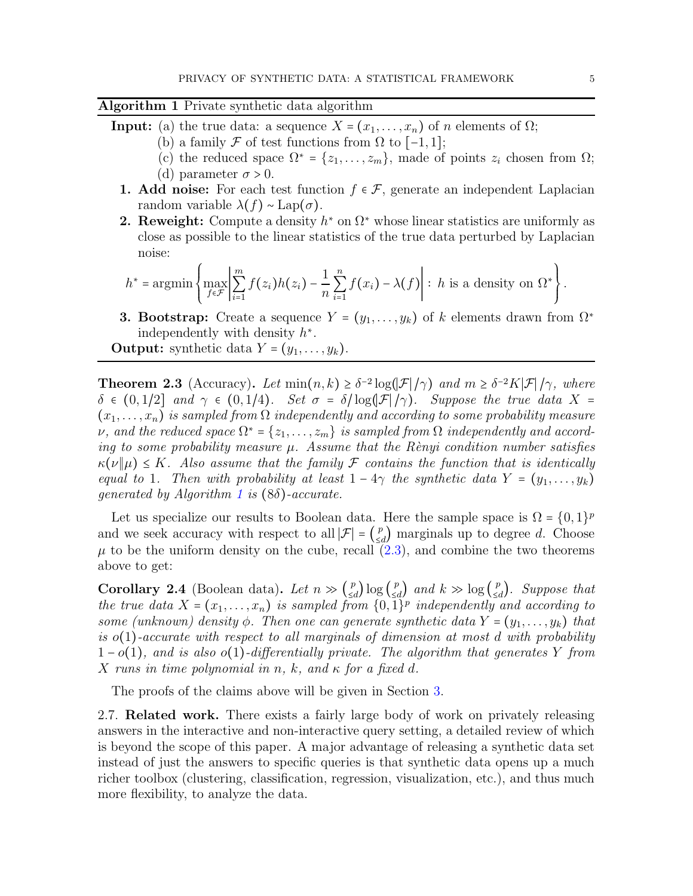# <span id="page-4-1"></span>Algorithm 1 Private synthetic data algorithm

- **Input:** (a) the true data: a sequence  $X = (x_1, \ldots, x_n)$  of n elements of  $\Omega$ ;
	- (b) a family  $\mathcal F$  of test functions from  $\Omega$  to  $[-1,1]$ ;
	- (c) the reduced space  $\Omega^* = \{z_1, \ldots, z_m\}$ , made of points  $z_i$  chosen from  $\Omega$ ; (d) parameter  $\sigma > 0$ .
	- 1. Add noise: For each test function  $f \in \mathcal{F}$ , generate an independent Laplacian random variable  $\lambda(f) \sim \text{Lap}(\sigma)$ .
	- **2. Reweight:** Compute a density  $h^*$  on  $\Omega^*$  whose linear statistics are uniformly as close as possible to the linear statistics of the true data perturbed by Laplacian noise:

$$
h^* = \operatorname{argmin}\left\{\max_{f \in \mathcal{F}} \left| \sum_{i=1}^m f(z_i)h(z_i) - \frac{1}{n}\sum_{i=1}^n f(x_i) - \lambda(f) \right| : h \text{ is a density on } \Omega^* \right\}.
$$

**3. Bootstrap:** Create a sequence  $Y = (y_1, \ldots, y_k)$  of k elements drawn from  $\Omega^*$ independently with density  $h^*$ .

**Output:** synthetic data  $Y = (y_1, \ldots, y_k)$ .

<span id="page-4-2"></span>**Theorem 2.3** (Accuracy). Let  $min(n, k) \ge \delta^{-2} \log(|\mathcal{F}|/\gamma)$  and  $m \ge \delta^{-2} K|\mathcal{F}|/\gamma$ , where  $\delta \in (0,1/2]$  and  $\gamma \in (0,1/4)$ . Set  $\sigma = \delta / \log(|\mathcal{F}|/\gamma)$ . Suppose the true data X =  $(x_1, \ldots, x_n)$  is sampled from  $\Omega$  independently and according to some probability measure  $\nu$ , and the reduced space  $\Omega^* = \{z_1, \ldots, z_m\}$  is sampled from  $\Omega$  independently and according to some probability measure  $\mu$ . Assume that the Rènyi condition number satisfies  $\kappa(\nu||\mu) \leq K$ . Also assume that the family F contains the function that is identically equal to 1. Then with probability at least  $1 - 4\gamma$  the synthetic data  $Y = (y_1, \ldots, y_k)$ qenerated by Algorithm [1](#page-4-1) is  $(8\delta)$ -accurate.

Let us specialize our results to Boolean data. Here the sample space is  $\Omega = \{0, 1\}^p$ and we seek accuracy with respect to all  $|\mathcal{F}| = \left(\frac{p}{\leq \epsilon}\right)$  $\binom{p}{\leq d}$  marginals up to degree d. Choose  $\mu$  to be the uniform density on the cube, recall  $(2.3)$ , and combine the two theorems above to get:

Corollary 2.4 (Boolean data). Let  $n \gg \left(\frac{p}{\leq \epsilon}\right)$ <sup>*p*</sup><sub>≤d</sub></sub> $\log \left(\frac{p}{\leq \epsilon}\right)$  $\binom{p}{\leq d}$  and  $k \gg \log \binom{p}{\leq d}$  $\binom{p}{\leq d}$ . Suppose that the true data  $X = (x_1, \ldots, x_n)$  is sampled from  $\{0,1\}^p$  independently and according to some (unknown) density  $\phi$ . Then one can generate synthetic data  $Y = (y_1, \ldots, y_k)$  that is  $o(1)$ -accurate with respect to all marginals of dimension at most d with probability  $1-o(1)$ , and is also  $o(1)$ -differentially private. The algorithm that generates Y from X runs in time polynomial in n, k, and  $\kappa$  for a fixed d.

<span id="page-4-0"></span>The proofs of the claims above will be given in Section [3.](#page-5-0)

2.7. Related work. There exists a fairly large body of work on privately releasing answers in the interactive and non-interactive query setting, a detailed review of which is beyond the scope of this paper. A major advantage of releasing a synthetic data set instead of just the answers to specific queries is that synthetic data opens up a much richer toolbox (clustering, classification, regression, visualization, etc.), and thus much more flexibility, to analyze the data.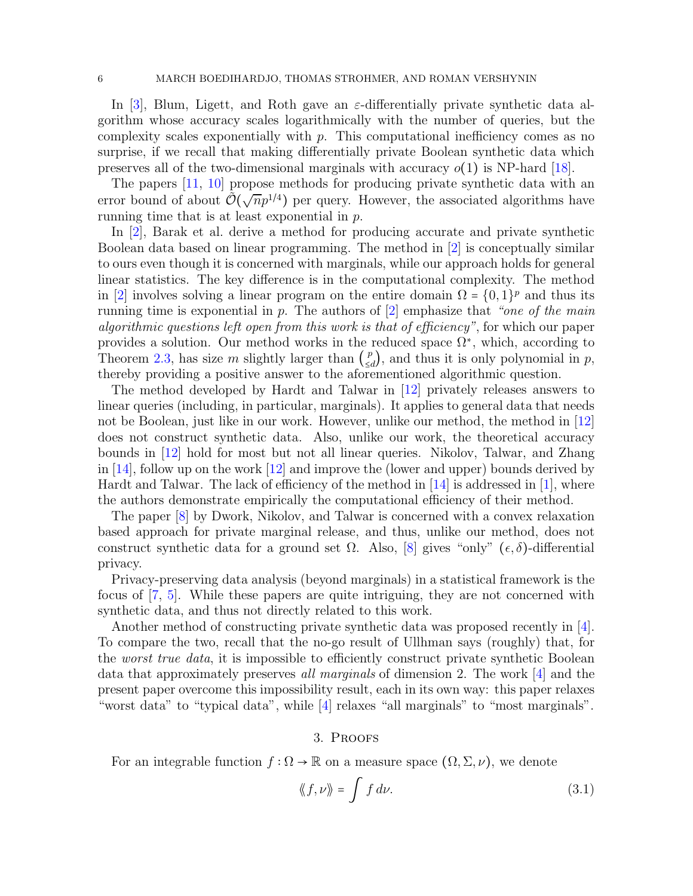In [\[3\]](#page-10-0), Blum, Ligett, and Roth gave an  $\varepsilon$ -differentially private synthetic data algorithm whose accuracy scales logarithmically with the number of queries, but the complexity scales exponentially with  $p$ . This computational inefficiency comes as no surprise, if we recall that making differentially private Boolean synthetic data which preserves all of the two-dimensional marginals with accuracy  $o(1)$  is NP-hard [\[18\]](#page-11-3).

The papers [\[11,](#page-11-8) [10\]](#page-11-9) propose methods for producing private synthetic data with an error bound of about  $\tilde{\mathcal{O}}(\sqrt{n}p^{1/4})$  per query. However, the associated algorithms have running time that is at least exponential in p.

In [\[2\]](#page-10-1), Barak et al. derive a method for producing accurate and private synthetic Boolean data based on linear programming. The method in [\[2\]](#page-10-1) is conceptually similar to ours even though it is concerned with marginals, while our approach holds for general linear statistics. The key difference is in the computational complexity. The method in [\[2\]](#page-10-1) involves solving a linear program on the entire domain  $\Omega = \{0, 1\}^p$  and thus its running time is exponential in  $p$ . The authors of  $[2]$  emphasize that "one of the main algorithmic questions left open from this work is that of efficiency", for which our paper provides a solution. Our method works in the reduced space  $\Omega^*$ , which, according to Theorem [2.3,](#page-4-2) has size m slightly larger than  $\binom{p}{\leq q}$  $\binom{p}{\leq d}$ , and thus it is only polynomial in p, thereby providing a positive answer to the aforementioned algorithmic question.

The method developed by Hardt and Talwar in [\[12\]](#page-11-10) privately releases answers to linear queries (including, in particular, marginals). It applies to general data that needs not be Boolean, just like in our work. However, unlike our method, the method in [\[12\]](#page-11-10) does not construct synthetic data. Also, unlike our work, the theoretical accuracy bounds in [\[12\]](#page-11-10) hold for most but not all linear queries. Nikolov, Talwar, and Zhang in [\[14\]](#page-11-11), follow up on the work [\[12\]](#page-11-10) and improve the (lower and upper) bounds derived by Hardt and Talwar. The lack of efficiency of the method in [\[14\]](#page-11-11) is addressed in [\[1\]](#page-10-2), where the authors demonstrate empirically the computational efficiency of their method.

The paper [\[8\]](#page-11-12) by Dwork, Nikolov, and Talwar is concerned with a convex relaxation based approach for private marginal release, and thus, unlike our method, does not construct synthetic data for a ground set  $\Omega$ . Also, [\[8\]](#page-11-12) gives "only" ( $\epsilon, \delta$ )-differential privacy.

Privacy-preserving data analysis (beyond marginals) in a statistical framework is the focus of [\[7,](#page-11-13) [5\]](#page-10-3). While these papers are quite intriguing, they are not concerned with synthetic data, and thus not directly related to this work.

Another method of constructing private synthetic data was proposed recently in [\[4\]](#page-10-4). To compare the two, recall that the no-go result of Ullhman says (roughly) that, for the *worst true data*, it is impossible to efficiently construct private synthetic Boolean data that approximately preserves all marginals of dimension 2. The work [\[4\]](#page-10-4) and the present paper overcome this impossibility result, each in its own way: this paper relaxes "worst data" to "typical data", while [\[4\]](#page-10-4) relaxes "all marginals" to "most marginals".

#### 3. Proofs

<span id="page-5-0"></span>For an integrable function  $f : \Omega \to \mathbb{R}$  on a measure space  $(\Omega, \Sigma, \nu)$ , we denote

<span id="page-5-1"></span>
$$
\langle\!\langle f, \nu \rangle\!\rangle = \int f \, d\nu. \tag{3.1}
$$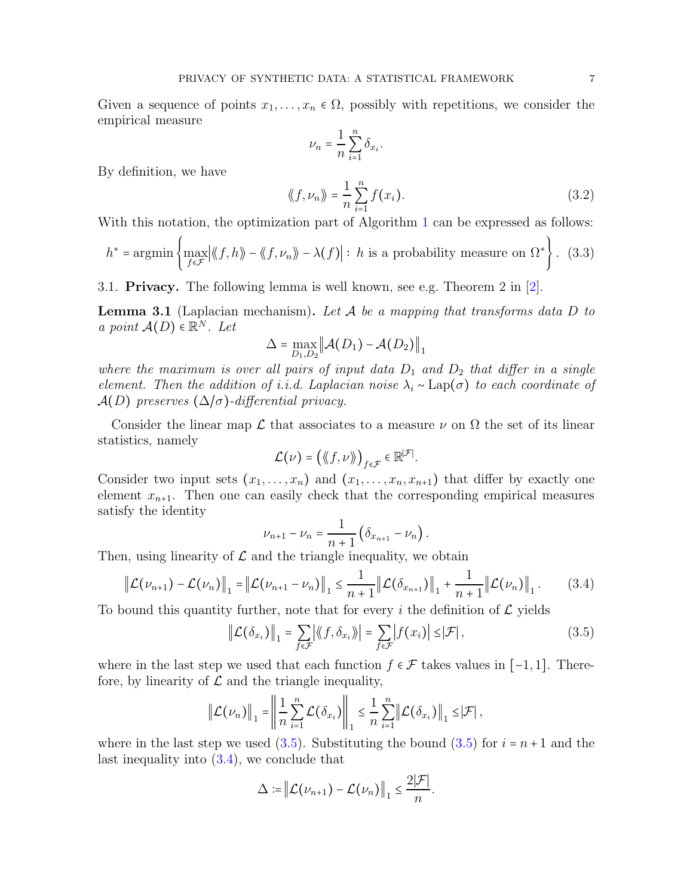Given a sequence of points  $x_1, \ldots, x_n \in \Omega$ , possibly with repetitions, we consider the empirical measure

$$
\nu_n = \frac{1}{n} \sum_{i=1}^n \delta_{x_i}.
$$

By definition, we have

<span id="page-6-4"></span>
$$
\langle f, \nu_n \rangle = \frac{1}{n} \sum_{i=1}^{n} f(x_i).
$$
 (3.2)

With this notation, the optimization part of Algorithm [1](#page-4-1) can be expressed as follows:

<span id="page-6-3"></span>
$$
h^* = \operatorname{argmin}\left\{\max_{f \in \mathcal{F}} |\langle f, h \rangle| - \langle f, \nu_n \rangle| - \lambda(f)| : h \text{ is a probability measure on } \Omega^* \right\}. \tag{3.3}
$$

3.1. Privacy. The following lemma is well known, see e.g. Theorem 2 in [\[2\]](#page-10-1).

<span id="page-6-0"></span>**Lemma 3.1** (Laplacian mechanism). Let  $A$  be a mapping that transforms data  $D$  to a point  $A(D) \in \mathbb{R}^N$ . Let

$$
\Delta = \max_{D_1, D_2} \left\| \mathcal{A}(D_1) - \mathcal{A}(D_2) \right\|_1
$$

where the maximum is over all pairs of input data  $D_1$  and  $D_2$  that differ in a single element. Then the addition of i.i.d. Laplacian noise  $\lambda_i$  ∼ Lap( $\sigma$ ) to each coordinate of  $\mathcal{A}(D)$  preserves  $(\Delta/\sigma)$ -differential privacy.

Consider the linear map  $\mathcal L$  that associates to a measure  $\nu$  on  $\Omega$  the set of its linear statistics, namely

$$
\mathcal{L}(\nu) = \big(\langle \! \langle f, \nu \rangle \! \rangle \big)_{f \in \mathcal{F}} \in \mathbb{R}^{|\mathcal{F}|}.
$$

Consider two input sets  $(x_1, \ldots, x_n)$  and  $(x_1, \ldots, x_n, x_{n+1})$  that differ by exactly one element  $x_{n+1}$ . Then one can easily check that the corresponding empirical measures satisfy the identity

$$
\nu_{n+1} - \nu_n = \frac{1}{n+1} \left( \delta_{x_{n+1}} - \nu_n \right).
$$

Then, using linearity of  $\mathcal L$  and the triangle inequality, we obtain

<span id="page-6-2"></span>
$$
\|\mathcal{L}(\nu_{n+1}) - \mathcal{L}(\nu_n)\|_1 = \|\mathcal{L}(\nu_{n+1} - \nu_n)\|_1 \le \frac{1}{n+1} \|\mathcal{L}(\delta_{x_{n+1}})\|_1 + \frac{1}{n+1} \|\mathcal{L}(\nu_n)\|_1.
$$
 (3.4)

To bound this quantity further, note that for every i the definition of  $\mathcal L$  yields

<span id="page-6-1"></span>
$$
\left\| \mathcal{L}(\delta_{x_i}) \right\|_1 = \sum_{f \in \mathcal{F}} \left| \langle f, \delta_{x_i} \rangle \right| = \sum_{f \in \mathcal{F}} \left| f(x_i) \right| \leq |\mathcal{F}| \,, \tag{3.5}
$$

where in the last step we used that each function  $f \in \mathcal{F}$  takes values in [-1,1]. Therefore, by linearity of  $\mathcal L$  and the triangle inequality,

$$
\left\|\mathcal{L}(\nu_n)\right\|_1 = \left\|\frac{1}{n}\sum_{i=1}^n \mathcal{L}(\delta_{x_i})\right\|_1 \leq \frac{1}{n}\sum_{i=1}^n \left\|\mathcal{L}(\delta_{x_i})\right\|_1 \leq \left|\mathcal{F}\right|,
$$

where in the last step we used [\(3.5\)](#page-6-1). Substituting the bound (3.5) for  $i = n + 1$  and the last inequality into [\(3.4\)](#page-6-2), we conclude that

$$
\Delta := \left\| \mathcal{L}(\nu_{n+1}) - \mathcal{L}(\nu_n) \right\|_1 \leq \frac{2|\mathcal{F}|}{n}.
$$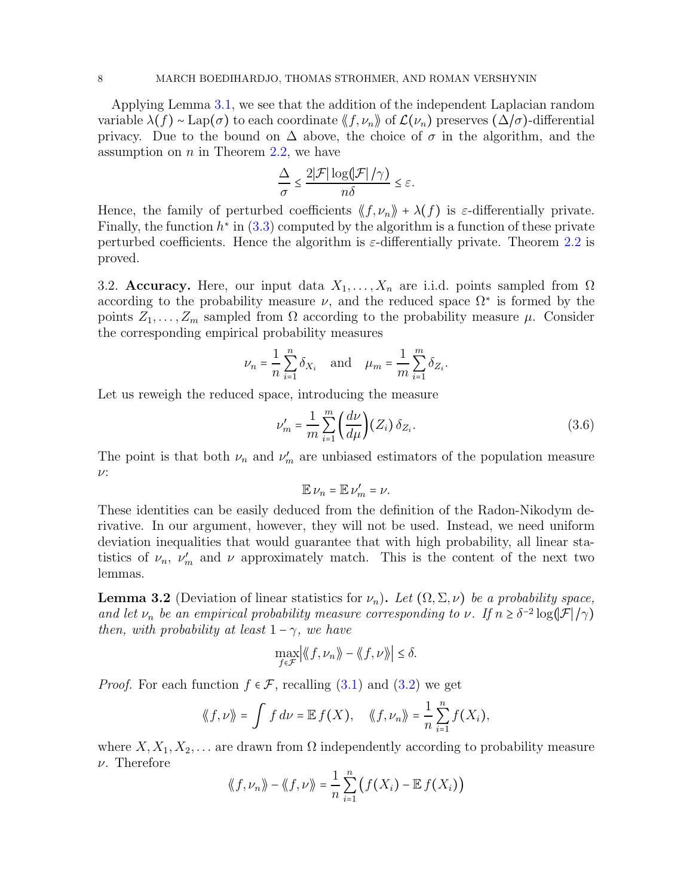Applying Lemma [3.1,](#page-6-0) we see that the addition of the independent Laplacian random variable  $\lambda(f) \sim \text{Lap}(\sigma)$  to each coordinate  $\langle f, \nu_n \rangle$  of  $\mathcal{L}(\nu_n)$  preserves  $(\Delta/\sigma)$ -differential privacy. Due to the bound on  $\Delta$  above, the choice of  $\sigma$  in the algorithm, and the assumption on  $n$  in Theorem [2.2,](#page-3-2) we have

$$
\frac{\Delta}{\sigma} \le \frac{2|\mathcal{F}| \log(|\mathcal{F}|/\gamma)}{n\delta} \le \varepsilon.
$$

Hence, the family of perturbed coefficients  $\langle f, \nu_n \rangle + \lambda(f)$  is  $\varepsilon$ -differentially private. Finally, the function  $h^*$  in [\(3.3\)](#page-6-3) computed by the algorithm is a function of these private perturbed coefficients. Hence the algorithm is  $\varepsilon$ -differentially private. Theorem [2.2](#page-3-2) is proved.

3.2. Accuracy. Here, our input data  $X_1, \ldots, X_n$  are i.i.d. points sampled from  $\Omega$ according to the probability measure  $\nu$ , and the reduced space  $\Omega^*$  is formed by the points  $Z_1, \ldots, Z_m$  sampled from  $\Omega$  according to the probability measure  $\mu$ . Consider the corresponding empirical probability measures

$$
\nu_n = \frac{1}{n} \sum_{i=1}^n \delta_{X_i} \quad \text{and} \quad \mu_m = \frac{1}{m} \sum_{i=1}^m \delta_{Z_i}.
$$

Let us reweigh the reduced space, introducing the measure

<span id="page-7-0"></span>
$$
\nu'_m = \frac{1}{m} \sum_{i=1}^m \left(\frac{d\nu}{d\mu}\right) (Z_i) \,\delta_{Z_i}.\tag{3.6}
$$

The point is that both  $\nu_n$  and  $\nu'_m$  are unbiased estimators of the population measure ν:

$$
\mathbb{E}\,\nu_n=\mathbb{E}\,\nu'_m=\nu.
$$

These identities can be easily deduced from the definition of the Radon-Nikodym derivative. In our argument, however, they will not be used. Instead, we need uniform deviation inequalities that would guarantee that with high probability, all linear statistics of  $\nu_n$ ,  $\nu'_m$  and  $\nu$  approximately match. This is the content of the next two lemmas.

<span id="page-7-1"></span>**Lemma 3.2** (Deviation of linear statistics for  $\nu_n$ ). Let  $(\Omega, \Sigma, \nu)$  be a probability space, and let  $\nu_n$  be an empirical probability measure corresponding to  $\nu$ . If  $n \geq \delta^{-2} \log(|\mathcal{F}|/\gamma)$ then, with probability at least  $1 - \gamma$ , we have

$$
\max_{f \in \mathcal{F}} \left| \langle f, \nu_n \rangle \right| - \langle f, \nu \rangle \right| \le \delta.
$$

*Proof.* For each function  $f \in \mathcal{F}$ , recalling [\(3.1\)](#page-5-1) and [\(3.2\)](#page-6-4) we get

$$
\langle\!\langle f,\nu\rangle\!\rangle = \int f\,d\nu = \mathbb{E}\,f(X), \quad \langle\!\langle f,\nu_n\rangle\!\rangle = \frac{1}{n}\sum_{i=1}^n f(X_i),
$$

where  $X, X_1, X_2, \ldots$  are drawn from  $\Omega$  independently according to probability measure  $\nu$ . Therefore

$$
\langle\!\langle f,\nu_n\rangle\!\rangle - \langle\!\langle f,\nu\rangle\!\rangle = \frac{1}{n}\sum_{i=1}^n \big(f(X_i) - \mathbb{E} f(X_i)\big)
$$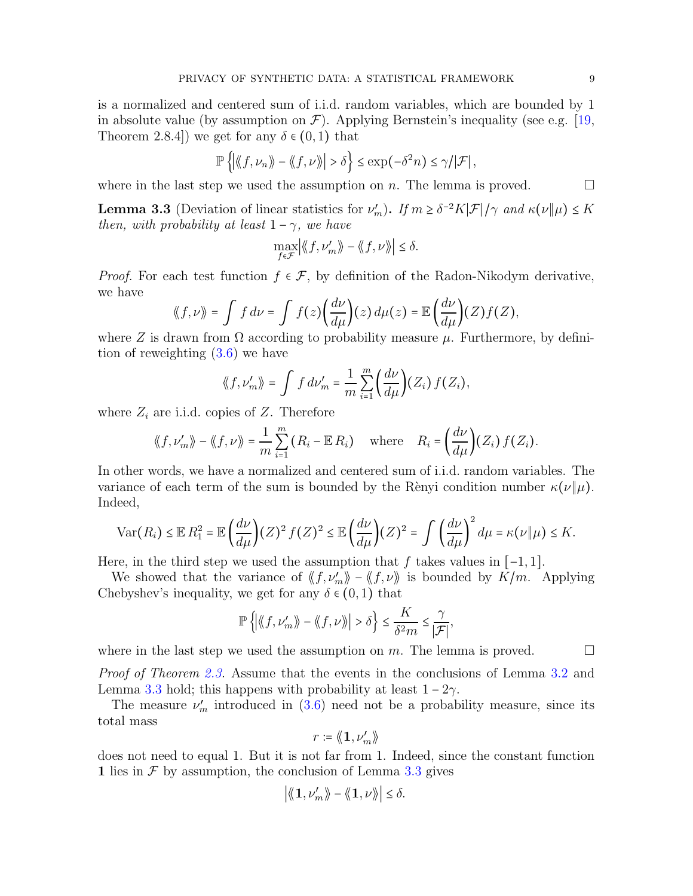is a normalized and centered sum of i.i.d. random variables, which are bounded by 1 in absolute value (by assumption on  $\mathcal{F}$ ). Applying Bernstein's inequality (see e.g. [\[19,](#page-11-14) Theorem 2.8.4]) we get for any  $\delta \in (0,1)$  that

$$
\mathbb{P}\left\{ \left| \langle f, \nu_n \rangle \right\rangle - \langle f, \nu \rangle \right| > \delta \right\} \le \exp(-\delta^2 n) \le \gamma/|\mathcal{F}|,
$$

where in the last step we used the assumption on n. The lemma is proved.  $\Box$ 

<span id="page-8-0"></span>**Lemma 3.3** (Deviation of linear statistics for  $\nu'_m$ ). If  $m \geq \delta^{-2}K|\mathcal{F}|/\gamma$  and  $\kappa(\nu||\mu) \leq K$ then, with probability at least  $1 - \gamma$ , we have

$$
\max_{f \in \mathcal{F}} \left| \langle \langle f, \nu_m' \rangle \rangle - \langle \langle f, \nu \rangle \rangle \right| \le \delta.
$$

*Proof.* For each test function  $f \in \mathcal{F}$ , by definition of the Radon-Nikodym derivative, we have

$$
\langle f, \nu \rangle = \int f \, d\nu = \int f(z) \bigg( \frac{d\nu}{d\mu} \bigg) (z) \, d\mu(z) = \mathbb{E} \bigg( \frac{d\nu}{d\mu} \bigg) (Z) f(Z),
$$

where Z is drawn from  $\Omega$  according to probability measure  $\mu$ . Furthermore, by definition of reweighting [\(3.6\)](#page-7-0) we have

$$
\langle\!\langle f, \nu_m'\rangle\!\rangle = \int f d\nu_m' = \frac{1}{m} \sum_{i=1}^m \bigg(\frac{d\nu}{d\mu}\bigg) (Z_i) f(Z_i),
$$

where  $Z_i$  are i.i.d. copies of  $Z$ . Therefore

$$
\langle\!\langle f, \nu_m'\rangle\!\rangle - \langle\!\langle f, \nu\rangle\!\rangle = \frac{1}{m} \sum_{i=1}^m (R_i - \mathbb{E} R_i) \quad \text{where} \quad R_i = \left(\frac{d\nu}{d\mu}\right) (Z_i) f(Z_i).
$$

In other words, we have a normalized and centered sum of i.i.d. random variables. The variance of each term of the sum is bounded by the Rènyi condition number  $\kappa(\nu|\mu)$ . Indeed,

$$
\text{Var}(R_i) \leq \mathbb{E} R_1^2 = \mathbb{E} \left( \frac{d\nu}{d\mu} \right) (Z)^2 f(Z)^2 \leq \mathbb{E} \left( \frac{d\nu}{d\mu} \right) (Z)^2 = \int \left( \frac{d\nu}{d\mu} \right)^2 d\mu = \kappa(\nu \| \mu) \leq K.
$$

Here, in the third step we used the assumption that f takes values in  $[-1, 1]$ .

We showed that the variance of  $\langle f, \nu'_m \rangle - \langle f, \nu \rangle$  is bounded by  $\overline{K/m}$ . Applying Chebyshev's inequality, we get for any  $\delta \in (0,1)$  that

$$
\mathbb{P}\left\{\left|\left\langle\!\left\langle f,\nu_m'\right\rangle\!\right\rangle-\left\langle\!\left\langle f,\nu\right\rangle\!\right\rangle\!\right|>\delta\right\}\leq \frac{K}{\delta^2 m}\leq \frac{\gamma}{|\mathcal{F}|},
$$

where in the last step we used the assumption on m. The lemma is proved.  $\Box$ 

Proof of Theorem [2.3.](#page-4-2) Assume that the events in the conclusions of Lemma [3.2](#page-7-1) and Lemma [3.3](#page-8-0) hold; this happens with probability at least  $1 - 2\gamma$ .

The measure  $\nu'_m$  introduced in [\(3.6\)](#page-7-0) need not be a probability measure, since its total mass

$$
r \coloneqq \langle\!\!\!\langle \mathbf{1}, \nu_m'\rangle\!\!\!\rangle
$$

does not need to equal 1. But it is not far from 1. Indeed, since the constant function 1 lies in  $\mathcal F$  by assumption, the conclusion of Lemma [3.3](#page-8-0) gives

$$
\left|\langle \! \langle {\bf 1}, \nu_m' \rangle \! \rangle - \langle \! \langle {\bf 1}, \nu \rangle \! \rangle \! \right| \leq \delta.
$$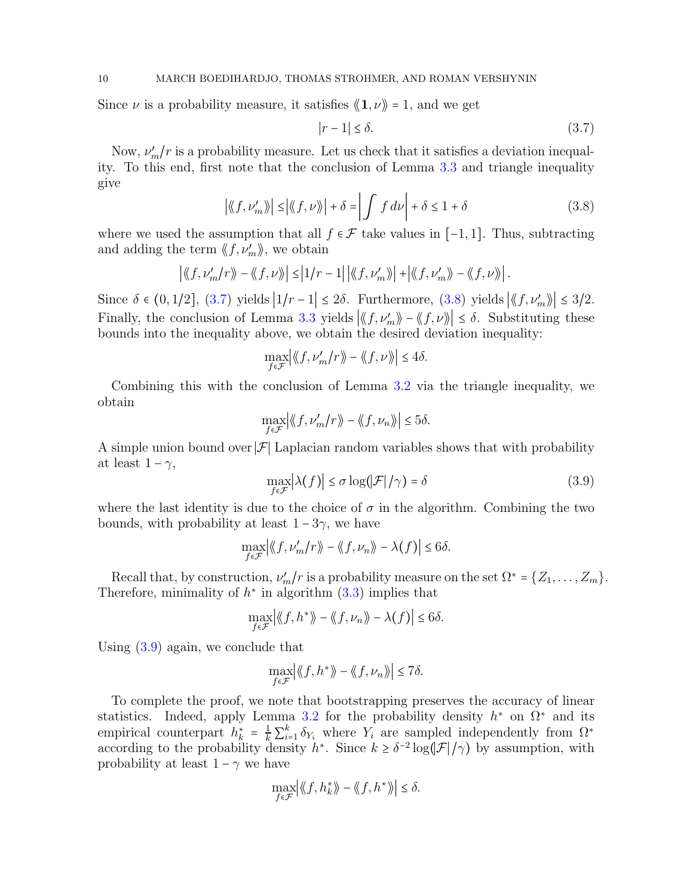Since  $\nu$  is a probability measure, it satisfies  $\langle 1, \nu \rangle = 1$ , and we get

<span id="page-9-0"></span>
$$
|r - 1| \le \delta. \tag{3.7}
$$

Now,  $\nu'_m/r$  is a probability measure. Let us check that it satisfies a deviation inequality. To this end, first note that the conclusion of Lemma [3.3](#page-8-0) and triangle inequality give

<span id="page-9-1"></span>
$$
\left| \langle \langle f, \nu'_m \rangle \rangle \right| \le \left| \langle \langle f, \nu \rangle \rangle \right| + \delta = \left| \int f \, d\nu \right| + \delta \le 1 + \delta \tag{3.8}
$$

where we used the assumption that all  $f \in \mathcal{F}$  take values in [−1, 1]. Thus, subtracting and adding the term  $\langle f, \nu'_m \rangle$ , we obtain

$$
\left| \langle \langle f, \nu'_m / r \rangle \rangle - \langle \langle f, \nu \rangle \rangle \right| \leq \left| 1/r - 1 \right| \left| \langle \langle f, \nu'_m \rangle \rangle \right| + \left| \langle \langle f, \nu'_m \rangle \rangle - \langle \langle f, \nu \rangle \rangle \right|.
$$

Since  $\delta \in (0, 1/2]$ ,  $(3.7)$  yields  $|1/r - 1| \le 2\delta$ . Furthermore,  $(3.8)$  yields  $\left| \langle f, \nu_m' \rangle \right| \le 3/2$ . Finally, the conclusion of Lemma [3.3](#page-8-0) yields  $|\langle f, \nu'_m \rangle - \langle f, \nu \rangle| \leq \delta$ . Substituting these bounds into the inequality above, we obtain the desired deviation inequality:

$$
\max_{f \in \mathcal{F}} \left| \langle \! \langle f, \nu_m' / r \rangle \! \rangle - \langle \! \langle f, \nu \rangle \! \rangle \! \right| \leq 4\delta.
$$

Combining this with the conclusion of Lemma [3.2](#page-7-1) via the triangle inequality, we obtain

$$
\max_{f \in \mathcal{F}} \left| \langle \! \langle f, \nu_m'/r \rangle \! \rangle - \langle \! \langle f, \nu_n \rangle \! \rangle \right| \leq 5\delta.
$$

A simple union bound over  $\mathcal{F}$  Laplacian random variables shows that with probability at least  $1 - \gamma$ ,

<span id="page-9-2"></span>
$$
\max_{f \in \mathcal{F}} |\lambda(f)| \le \sigma \log(|\mathcal{F}|/\gamma) = \delta \tag{3.9}
$$

where the last identity is due to the choice of  $\sigma$  in the algorithm. Combining the two bounds, with probability at least  $1 - 3\gamma$ , we have

$$
\max_{f \in \mathcal{F}} \left| \langle f, \nu'_m / r \rangle \right| - \langle f, \nu_n \rangle - \lambda(f) \le 6\delta.
$$

Recall that, by construction,  $\nu'_m/r$  is a probability measure on the set  $\Omega^* = \{Z_1, \ldots, Z_m\}$ . Therefore, minimality of  $h^*$  in algorithm  $(3.3)$  implies that

$$
\max_{f \in \mathcal{F}} \left| \langle f, h^* \rangle \right| - \langle f, \nu_n \rangle - \lambda(f) \le 6\delta.
$$

Using [\(3.9\)](#page-9-2) again, we conclude that

$$
\max_{f \in \mathcal{F}} \left| \langle f, h^* \rangle \right| - \langle f, \nu_n \rangle \Big| \le 7\delta.
$$

To complete the proof, we note that bootstrapping preserves the accuracy of linear statistics. Indeed, apply Lemma [3.2](#page-7-1) for the probability density  $h^*$  on  $\Omega^*$  and its empirical counterpart  $h_k^* = \frac{1}{k} \sum_{i=1}^k \delta_{Y_i}$  where  $Y_i$  are sampled independently from  $\Omega^*$ according to the probability density  $h^*$ . Since  $k \geq \delta^{-2} \log(|\mathcal{F}|/\gamma)$  by assumption, with probability at least  $1 - \gamma$  we have

$$
\max_{f\in\mathcal{F}} \left| \langle\!\langle f, h_k^*\rangle\!\rangle - \langle\!\langle f, h^*\rangle\!\rangle \right| \leq \delta.
$$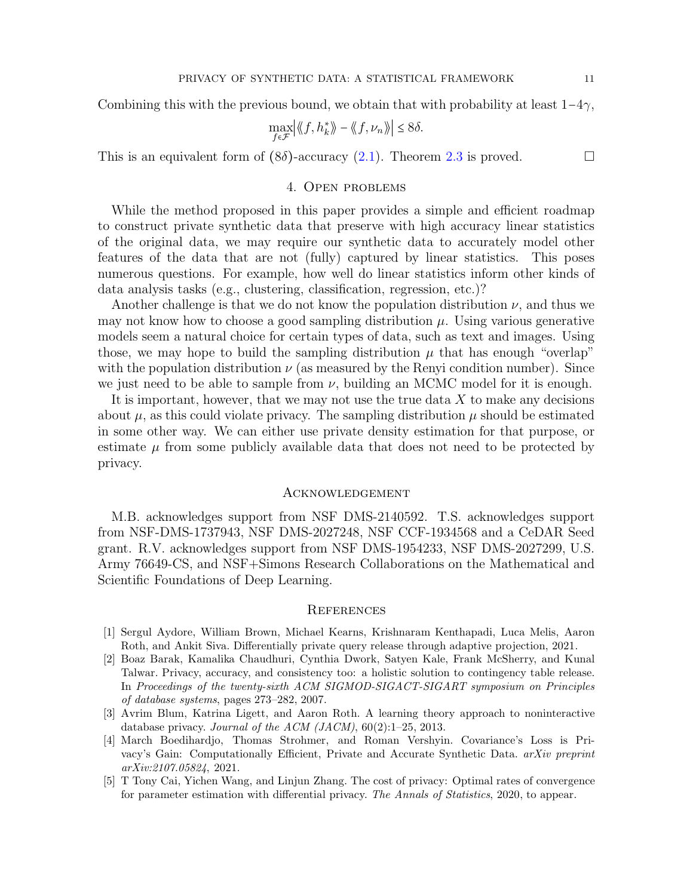Combining this with the previous bound, we obtain that with probability at least  $1-4\gamma$ ,

$$
\max_{f \in \mathcal{F}} \left| \langle f, h_k^* \rangle \right| - \langle f, \nu_n \rangle \right| \le 8\delta.
$$

This is an equivalent form of  $(8\delta)$ -accuracy  $(2.1)$ . Theorem [2.3](#page-4-2) is proved.

# 4. Open problems

While the method proposed in this paper provides a simple and efficient roadmap to construct private synthetic data that preserve with high accuracy linear statistics of the original data, we may require our synthetic data to accurately model other features of the data that are not (fully) captured by linear statistics. This poses numerous questions. For example, how well do linear statistics inform other kinds of data analysis tasks (e.g., clustering, classification, regression, etc.)?

Another challenge is that we do not know the population distribution  $\nu$ , and thus we may not know how to choose a good sampling distribution  $\mu$ . Using various generative models seem a natural choice for certain types of data, such as text and images. Using those, we may hope to build the sampling distribution  $\mu$  that has enough "overlap" with the population distribution  $\nu$  (as measured by the Renyi condition number). Since we just need to be able to sample from  $\nu$ , building an MCMC model for it is enough.

It is important, however, that we may not use the true data  $X$  to make any decisions about  $\mu$ , as this could violate privacy. The sampling distribution  $\mu$  should be estimated in some other way. We can either use private density estimation for that purpose, or estimate  $\mu$  from some publicly available data that does not need to be protected by privacy.

#### Acknowledgement

M.B. acknowledges support from NSF DMS-2140592. T.S. acknowledges support from NSF-DMS-1737943, NSF DMS-2027248, NSF CCF-1934568 and a CeDAR Seed grant. R.V. acknowledges support from NSF DMS-1954233, NSF DMS-2027299, U.S. Army 76649-CS, and NSF+Simons Research Collaborations on the Mathematical and Scientific Foundations of Deep Learning.

## **REFERENCES**

- <span id="page-10-2"></span>[1] Sergul Aydore, William Brown, Michael Kearns, Krishnaram Kenthapadi, Luca Melis, Aaron Roth, and Ankit Siva. Differentially private query release through adaptive projection, 2021.
- <span id="page-10-1"></span>[2] Boaz Barak, Kamalika Chaudhuri, Cynthia Dwork, Satyen Kale, Frank McSherry, and Kunal Talwar. Privacy, accuracy, and consistency too: a holistic solution to contingency table release. In *Proceedings of the twenty-sixth ACM SIGMOD-SIGACT-SIGART symposium on Principles of database systems*, pages 273–282, 2007.
- <span id="page-10-0"></span>[3] Avrim Blum, Katrina Ligett, and Aaron Roth. A learning theory approach to noninteractive database privacy. *Journal of the ACM (JACM)*, 60(2):1–25, 2013.
- <span id="page-10-4"></span>[4] March Boedihardjo, Thomas Strohmer, and Roman Vershyin. Covariance's Loss is Privacy's Gain: Computationally Efficient, Private and Accurate Synthetic Data. *arXiv preprint arXiv:2107.05824*, 2021.
- <span id="page-10-3"></span>[5] T Tony Cai, Yichen Wang, and Linjun Zhang. The cost of privacy: Optimal rates of convergence for parameter estimation with differential privacy. *The Annals of Statistics*, 2020, to appear.